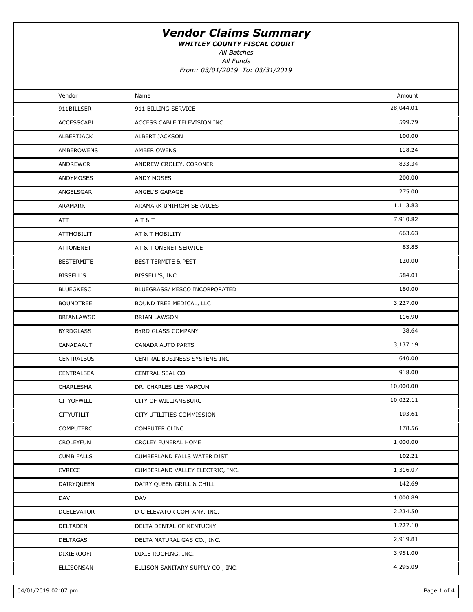WHITLEY COUNTY FISCAL COURT

All Batches

All Funds From: 03/01/2019 To: 03/31/2019

| Vendor            | Name                              | Amount    |  |
|-------------------|-----------------------------------|-----------|--|
| 911BILLSER        | 911 BILLING SERVICE               | 28,044.01 |  |
| <b>ACCESSCABL</b> | ACCESS CABLE TELEVISION INC       | 599.79    |  |
| <b>ALBERTJACK</b> | <b>ALBERT JACKSON</b>             | 100.00    |  |
| AMBEROWENS        | AMBER OWENS                       | 118.24    |  |
| ANDREWCR          | ANDREW CROLEY, CORONER            | 833.34    |  |
| ANDYMOSES         | <b>ANDY MOSES</b>                 | 200.00    |  |
| ANGELSGAR         | ANGEL'S GARAGE                    | 275.00    |  |
| ARAMARK           | ARAMARK UNIFROM SERVICES          | 1,113.83  |  |
| ATT               | AT&T                              | 7,910.82  |  |
| <b>ATTMOBILIT</b> | AT & T MOBILITY                   | 663.63    |  |
| <b>ATTONENET</b>  | AT & T ONENET SERVICE             | 83.85     |  |
| <b>BESTERMITE</b> | <b>BEST TERMITE &amp; PEST</b>    | 120.00    |  |
| <b>BISSELL'S</b>  | BISSELL'S, INC.                   | 584.01    |  |
| <b>BLUEGKESC</b>  | BLUEGRASS/ KESCO INCORPORATED     | 180.00    |  |
| <b>BOUNDTREE</b>  | BOUND TREE MEDICAL, LLC           | 3,227.00  |  |
| <b>BRIANLAWSO</b> | <b>BRIAN LAWSON</b>               | 116.90    |  |
| <b>BYRDGLASS</b>  | <b>BYRD GLASS COMPANY</b>         | 38.64     |  |
| CANADAAUT         | CANADA AUTO PARTS                 | 3,137.19  |  |
| <b>CENTRALBUS</b> | CENTRAL BUSINESS SYSTEMS INC      | 640.00    |  |
| <b>CENTRALSEA</b> | CENTRAL SEAL CO                   | 918.00    |  |
| CHARLESMA         | DR. CHARLES LEE MARCUM            | 10,000.00 |  |
| CITYOFWILL        | CITY OF WILLIAMSBURG              | 10,022.11 |  |
| CITYUTILIT        | CITY UTILITIES COMMISSION         | 193.61    |  |
| <b>COMPUTERCL</b> | <b>COMPUTER CLINC</b>             | 178.56    |  |
| CROLEYFUN         | CROLEY FUNERAL HOME               | 1,000.00  |  |
| <b>CUMB FALLS</b> | CUMBERLAND FALLS WATER DIST       | 102.21    |  |
| <b>CVRECC</b>     | CUMBERLAND VALLEY ELECTRIC, INC.  | 1,316.07  |  |
| DAIRYQUEEN        | DAIRY QUEEN GRILL & CHILL         | 142.69    |  |
| <b>DAV</b>        | DAV                               | 1,000.89  |  |
| <b>DCELEVATOR</b> | D C ELEVATOR COMPANY, INC.        | 2,234.50  |  |
| DELTADEN          | DELTA DENTAL OF KENTUCKY          | 1,727.10  |  |
| DELTAGAS          | DELTA NATURAL GAS CO., INC.       | 2,919.81  |  |
| DIXIEROOFI        | DIXIE ROOFING, INC.               | 3,951.00  |  |
| ELLISONSAN        | ELLISON SANITARY SUPPLY CO., INC. | 4,295.09  |  |
|                   |                                   |           |  |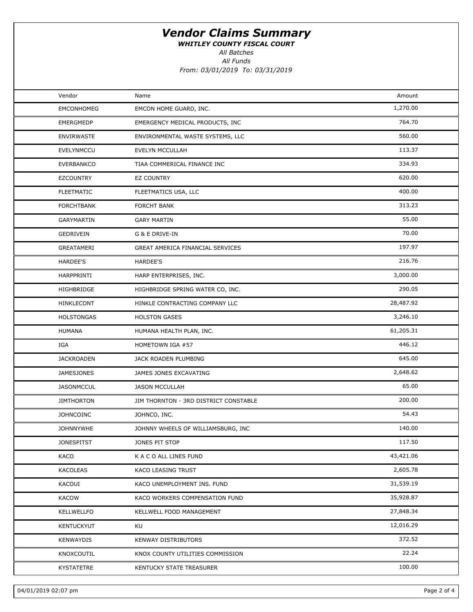WHITLEY COUNTY FISCAL COURT

All Batches

All Funds

From: 03/01/2019 To: 03/31/2019

| Vendor            | Name                                  | Amount    |  |
|-------------------|---------------------------------------|-----------|--|
| <b>EMCONHOMEG</b> | EMCON HOME GUARD, INC.                | 1,270.00  |  |
| EMERGMEDP         | EMERGENCY MEDICAL PRODUCTS, INC       | 764.70    |  |
| <b>ENVIRWASTE</b> | ENVIRONMENTAL WASTE SYSTEMS, LLC      | 560.00    |  |
| EVELYNMCCU        | EVELYN MCCULLAH                       | 113.37    |  |
| <b>EVERBANKCO</b> | TIAA COMMERICAL FINANCE INC           | 334.93    |  |
| <b>EZCOUNTRY</b>  | <b>EZ COUNTRY</b>                     | 620.00    |  |
| <b>FLEETMATIC</b> | FLEETMATICS USA, LLC                  | 400.00    |  |
| <b>FORCHTBANK</b> | <b>FORCHT BANK</b>                    | 313.23    |  |
| GARYMARTIN        | <b>GARY MARTIN</b>                    | 55.00     |  |
| GEDRIVEIN         | G & E DRIVE-IN                        | 70.00     |  |
| GREATAMERI        | GREAT AMERICA FINANCIAL SERVICES      | 197.97    |  |
| HARDEE'S          | HARDEE'S                              | 216.76    |  |
| HARPPRINTI        | HARP ENTERPRISES, INC.                | 3,000.00  |  |
| HIGHBRIDGE        | HIGHBRIDGE SPRING WATER CO, INC.      | 290.05    |  |
| HINKLECONT        | HINKLE CONTRACTING COMPANY LLC        | 28,487.92 |  |
| <b>HOLSTONGAS</b> | <b>HOLSTON GASES</b>                  | 3,246.10  |  |
| <b>HUMANA</b>     | HUMANA HEALTH PLAN, INC.              | 61,205.31 |  |
| IGA               | HOMETOWN IGA #57                      | 446.12    |  |
| <b>JACKROADEN</b> | JACK ROADEN PLUMBING                  | 645.00    |  |
| <b>JAMESJONES</b> | JAMES JONES EXCAVATING                | 2,648.62  |  |
| <b>JASONMCCUL</b> | <b>JASON MCCULLAH</b>                 | 65.00     |  |
| <b>JIMTHORTON</b> | JIM THORNTON - 3RD DISTRICT CONSTABLE | 200.00    |  |
| <b>JOHNCOINC</b>  | JOHNCO, INC.                          | 54.43     |  |
| <b>JOHNNYWHE</b>  | JOHNNY WHEELS OF WILLIAMSBURG, INC    | 140.00    |  |
| <b>JONESPITST</b> | JONES PIT STOP                        | 117.50    |  |
| KACO              | K A C O ALL LINES FUND                | 43,421.06 |  |
| <b>KACOLEAS</b>   | KACO LEASING TRUST                    | 2,605.78  |  |
| KACOUI            | KACO UNEMPLOYMENT INS. FUND           | 31,539.19 |  |
| KACOW             | KACO WORKERS COMPENSATION FUND        | 35,928.87 |  |
| KELLWELLFO        | KELLWELL FOOD MANAGEMENT              | 27,848.34 |  |
| <b>KENTUCKYUT</b> | KU                                    | 12,016.29 |  |
| <b>KENWAYDIS</b>  | KENWAY DISTRIBUTORS                   | 372.52    |  |
| KNOXCOUTIL        | KNOX COUNTY UTILITIES COMMISSION      | 22.24     |  |
| KYSTATETRE        | KENTUCKY STATE TREASURER              | 100.00    |  |
|                   |                                       |           |  |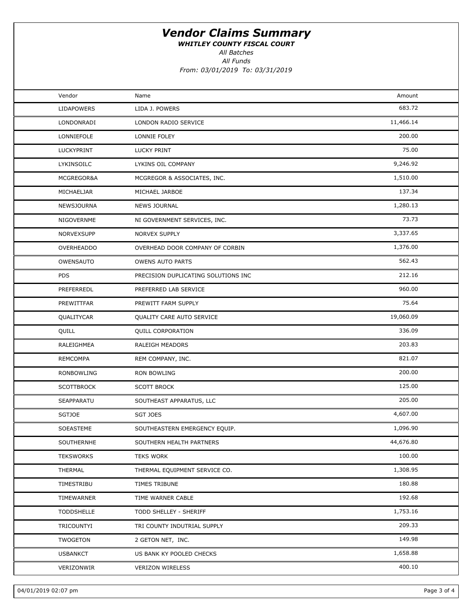WHITLEY COUNTY FISCAL COURT

All Funds All Batches

From: 03/01/2019 To: 03/31/2019

| Vendor            | Name                                | Amount    |  |
|-------------------|-------------------------------------|-----------|--|
| <b>LIDAPOWERS</b> | LIDA J. POWERS                      | 683.72    |  |
| LONDONRADI        | LONDON RADIO SERVICE                | 11,466.14 |  |
| LONNIEFOLE        | LONNIE FOLEY                        | 200.00    |  |
| LUCKYPRINT        | LUCKY PRINT                         | 75.00     |  |
| LYKINSOILC        | LYKINS OIL COMPANY                  | 9,246.92  |  |
| MCGREGOR&A        | MCGREGOR & ASSOCIATES, INC.         | 1,510.00  |  |
| MICHAELJAR        | MICHAEL JARBOE                      | 137.34    |  |
| NEWSJOURNA        | <b>NEWS JOURNAL</b>                 | 1,280.13  |  |
| NIGOVERNME        | NI GOVERNMENT SERVICES, INC.        | 73.73     |  |
| NORVEXSUPP        | <b>NORVEX SUPPLY</b>                | 3,337.65  |  |
| OVERHEADDO        | OVERHEAD DOOR COMPANY OF CORBIN     | 1,376.00  |  |
| OWENSAUTO         | OWENS AUTO PARTS                    | 562.43    |  |
| <b>PDS</b>        | PRECISION DUPLICATING SOLUTIONS INC | 212.16    |  |
| PREFERREDL        | PREFERRED LAB SERVICE               | 960.00    |  |
| PREWITTFAR        | PREWITT FARM SUPPLY                 | 75.64     |  |
| QUALITYCAR        | QUALITY CARE AUTO SERVICE           | 19,060.09 |  |
| QUILL             | <b>QUILL CORPORATION</b>            | 336.09    |  |
| RALEIGHMEA        | RALEIGH MEADORS                     | 203.83    |  |
| <b>REMCOMPA</b>   | REM COMPANY, INC.                   | 821.07    |  |
| RONBOWLING        | RON BOWLING                         | 200.00    |  |
| <b>SCOTTBROCK</b> | <b>SCOTT BROCK</b>                  | 125.00    |  |
| SEAPPARATU        | SOUTHEAST APPARATUS, LLC            | 205.00    |  |
| <b>SGTJOE</b>     | <b>SGT JOES</b>                     | 4,607.00  |  |
| SOEASTEME         | SOUTHEASTERN EMERGENCY EQUIP.       | 1,096.90  |  |
| SOUTHERNHE        | SOUTHERN HEALTH PARTNERS            | 44,676.80 |  |
| <b>TEKSWORKS</b>  | <b>TEKS WORK</b>                    | 100.00    |  |
| THERMAL           | THERMAL EQUIPMENT SERVICE CO.       | 1,308.95  |  |
| TIMESTRIBU        | TIMES TRIBUNE                       | 180.88    |  |
| TIMEWARNER        | TIME WARNER CABLE                   | 192.68    |  |
| <b>TODDSHELLE</b> | TODD SHELLEY - SHERIFF              | 1,753.16  |  |
| TRICOUNTYI        | TRI COUNTY INDUTRIAL SUPPLY         | 209.33    |  |
| TWOGETON          | 2 GETON NET, INC.                   | 149.98    |  |
| <b>USBANKCT</b>   | US BANK KY POOLED CHECKS            | 1,658.88  |  |
| VERIZONWIR        | <b>VERIZON WIRELESS</b>             | 400.10    |  |
|                   |                                     |           |  |